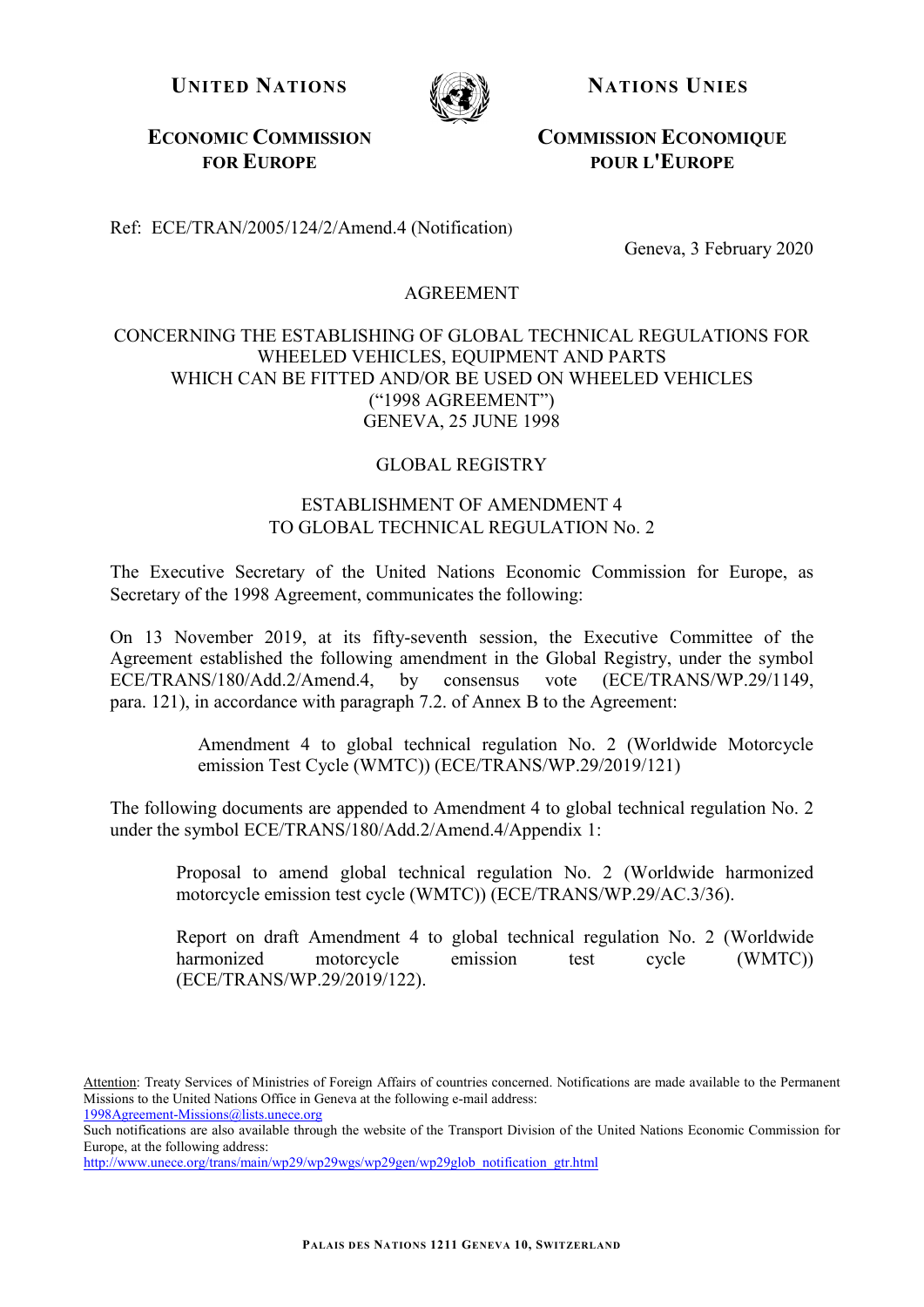**UNITED NATIONS NATIONS NATIONS** 



**ECONOMIC COMMISSION FOR EUROPE**

**COMMISSION ECONOMIQUE POUR L'EUROPE**

Ref: ECE/TRAN/2005/124/2/Amend.4 (Notification)

Geneva, 3 February 2020

## AGREEMENT

## CONCERNING THE ESTABLISHING OF GLOBAL TECHNICAL REGULATIONS FOR WHEELED VEHICLES, EQUIPMENT AND PARTS WHICH CAN BE FITTED AND/OR BE USED ON WHEELED VEHICLES ("1998 AGREEMENT") GENEVA, 25 JUNE 1998

## GLOBAL REGISTRY

## ESTABLISHMENT OF AMENDMENT 4 TO GLOBAL TECHNICAL REGULATION No. 2

The Executive Secretary of the United Nations Economic Commission for Europe, as Secretary of the 1998 Agreement, communicates the following:

On 13 November 2019, at its fifty-seventh session, the Executive Committee of the Agreement established the following amendment in the Global Registry, under the symbol ECE/TRANS/180/Add.2/Amend.4, by consensus vote (ECE/TRANS/WP.29/1149, para. 121), in accordance with paragraph 7.2. of Annex B to the Agreement:

> Amendment 4 to global technical regulation No. 2 (Worldwide Motorcycle emission Test Cycle (WMTC)) (ECE/TRANS/WP.29/2019/121)

The following documents are appended to Amendment 4 to global technical regulation No. 2 under the symbol ECE/TRANS/180/Add.2/Amend.4/Appendix 1:

Proposal to amend global technical regulation No. 2 (Worldwide harmonized motorcycle emission test cycle (WMTC)) (ECE/TRANS/WP.29/AC.3/36).

Report on draft Amendment 4 to global technical regulation No. 2 (Worldwide harmonized motorcycle emission test cycle (WMTC)) (ECE/TRANS/WP.29/2019/122).

Attention: Treaty Services of Ministries of Foreign Affairs of countries concerned. Notifications are made available to the Permanent Missions to the United Nations Office in Geneva at the following e-mail address: [1998Agreement-Missions@lists.unece.org](mailto:1998Agreement-Missions@lists.unece.org)

Such notifications are also available through the website of the Transport Division of the United Nations Economic Commission for Europe, at the following address:

[http://www.unece.org/trans/main/wp29/wp29wgs/wp29gen/wp29glob\\_notification\\_gtr.html](http://www-dev.unece.org/trans/main/wp29/wp29wgs/wp29gen/wp29glob_notification_gtr.html)